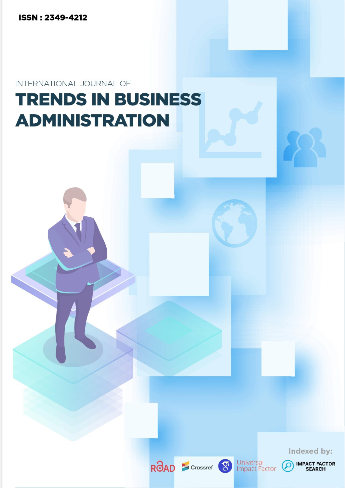**ISSN: 2349-4212** 

INTERNATIONAL JOURNAL OF

# **TRENDS IN BUSINESS ADMINISTRATION**







**IMPACT FACTOR**<br>SEARCH

Indexed by:

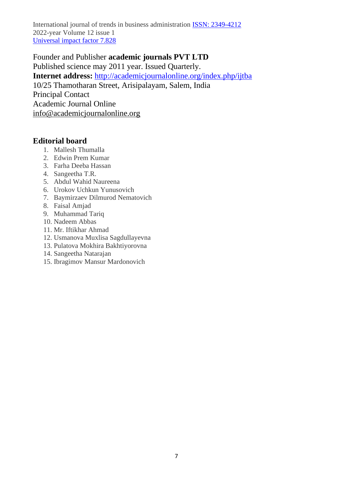Founder and Publisher **academic journals PVT LTD**  Published science may 2011 year. Issued Quarterly. **Internet address:** <http://academicjournalonline.org/index.php/ijtba> 10/25 Thamotharan Street, Arisipalayam, Salem, India Principal Contact Academic Journal Online [info@academicjournalonline.org](mailto:info@academicjournalonline.org)

## **Editorial board**

- 1. Mallesh Thumalla
- 2. Edwin Prem Kumar
- 3. Farha Deeba Hassan
- 4. Sangeetha T.R.
- 5. Abdul Wahid Naureena
- 6. Urokov Uchkun Yunusovich
- 7. Baymirzaev Dilmurod Nematovich
- 8. Faisal Amjad
- 9. Muhammad Tariq
- 10. Nadeem Abbas
- 11. Mr. Iftikhar Ahmad
- 12. Usmanova Muxlisa Sagdullayevna
- 13. Pulatova Mokhira Bakhtiyorovna
- 14. Sangeetha Natarajan
- 15. Ibragimov Mansur Mardonovich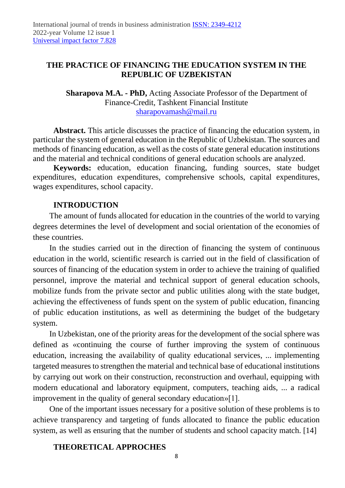# **THE PRACTICE OF FINANCING THE EDUCATION SYSTEM IN THE REPUBLIC OF UZBEKISTAN**

**Sharapova M.A. - PhD,** Acting Associate Professor of the Department of Finance-Credit, Tashkent Financial Institute [sharapovamash@mail.ru](mailto:sharapovamash@mail.ru)

**Abstract.** This article discusses the practice of financing the education system, in particular the system of general education in the Republic of Uzbekistan. The sources and methods of financing education, as well as the costs of state general education institutions and the material and technical conditions of general education schools are analyzed.

**Keywords:** education, education financing, funding sources, state budget expenditures, education expenditures, comprehensive schools, capital expenditures, wages expenditures, school capacity.

## **INTRODUCTION**

The amount of funds allocated for education in the countries of the world to varying degrees determines the level of development and social orientation of the economies of these countries.

In the studies carried out in the direction of financing the system of continuous education in the world, scientific research is carried out in the field of classification of sources of financing of the education system in order to achieve the training of qualified personnel, improve the material and technical support of general education schools, mobilize funds from the private sector and public utilities along with the state budget, achieving the effectiveness of funds spent on the system of public education, financing of public education institutions, as well as determining the budget of the budgetary system.

In Uzbekistan, one of the priority areas for the development of the social sphere was defined as «continuing the course of further improving the system of continuous education, increasing the availability of quality educational services, ... implementing targeted measures to strengthen the material and technical base of educational institutions by carrying out work on their construction, reconstruction and overhaul, equipping with modern educational and laboratory equipment, computers, teaching aids, ... a radical improvement in the quality of general secondary education»[1].

One of the important issues necessary for a positive solution of these problems is to achieve transparency and targeting of funds allocated to finance the public education system, as well as ensuring that the number of students and school capacity match. [14]

# **THEORETICAL APPROCHES**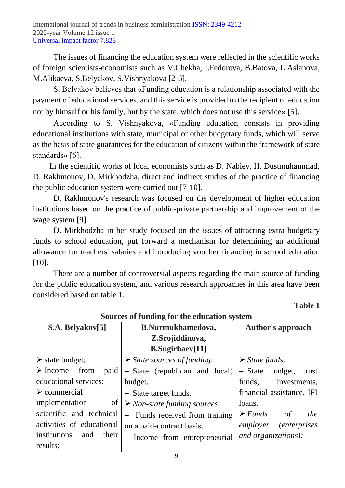The issues of financing the education system were reflected in the scientific works of foreign scientists-economists such as V.Chekha, I.Fedorova, B.Batova, L.Aslanova, M.Alikaeva, S.Belyakov, S.Vishnyakova [2-6].

S. Belyakov believes that «Funding education is a relationship associated with the payment of educational services, and this service is provided to the recipient of education not by himself or his family, but by the state, which does not use this service» [5].

According to S. Vishnyakova, «Funding education consists in providing educational institutions with state, municipal or other budgetary funds, which will serve as the basis of state guarantees for the education of citizens within the framework of state standards» [6].

In the scientific works of local economists such as D. Nabiev, H. Dustmuhammad, D. Rakhmonov, D. Mirkhodzha, direct and indirect studies of the practice of financing the public education system were carried out [7-10].

D. Rakhmonov's research was focused on the development of higher education institutions based on the practice of public-private partnership and improvement of the wage system [9].

D. Mirkhodzha in her study focused on the issues of attracting extra-budgetary funds to school education, put forward a mechanism for determining an additional allowance for teachers' salaries and introducing voucher financing in school education [10].

There are a number of controversial aspects regarding the main source of funding for the public education system, and various research approaches in this area have been considered based on table 1.

# **Table 1**

| $\sigma$ and $\sigma$ are $\sigma$ and $\sigma$ and $\sigma$ are $\sigma$ and $\sigma$ are $\sigma$ |                                             |                                            |  |  |  |  |  |  |  |  |
|-----------------------------------------------------------------------------------------------------|---------------------------------------------|--------------------------------------------|--|--|--|--|--|--|--|--|
| S.A. Belyakov[5]                                                                                    | <b>B.Nurmukhamedova,</b>                    | <b>Author's approach</b>                   |  |  |  |  |  |  |  |  |
|                                                                                                     | Z.Srojiddinova,                             |                                            |  |  |  |  |  |  |  |  |
|                                                                                                     | <b>B.Sugirbaev[11]</b>                      |                                            |  |  |  |  |  |  |  |  |
| $\triangleright$ state budget;                                                                      | $\triangleright$ State sources of funding:  | $\triangleright$ State funds:              |  |  |  |  |  |  |  |  |
| $\triangleright$ Income<br>from<br>paid                                                             | - State (republican and local)              | - State budget,<br>trust                   |  |  |  |  |  |  |  |  |
| educational services;                                                                               | budget.                                     | investments,<br>funds,                     |  |  |  |  |  |  |  |  |
| $\triangleright$ commercial                                                                         | - State target funds.                       | financial assistance, IFI                  |  |  |  |  |  |  |  |  |
| implementation<br>of                                                                                | $\triangleright$ Non-state funding sources: | loans.                                     |  |  |  |  |  |  |  |  |
| scientific and technical                                                                            | - Funds received from training              | $\triangleright$ Funds<br><i>the</i><br>of |  |  |  |  |  |  |  |  |
| activities of educational                                                                           | on a paid-contract basis.                   | <i>(enterprises)</i><br>employer           |  |  |  |  |  |  |  |  |
| institutions<br>their<br>and                                                                        | - Income from entrepreneurial               | and organizations):                        |  |  |  |  |  |  |  |  |
| results;                                                                                            |                                             |                                            |  |  |  |  |  |  |  |  |

# **Sources of funding for the education system**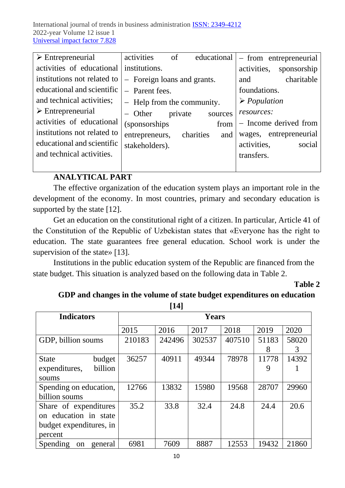| $\triangleright$ Entrepreneurial | activities<br>of            | educational      | - from entrepreneurial      |  |  |  |
|----------------------------------|-----------------------------|------------------|-----------------------------|--|--|--|
| activities of educational        | institutions.               |                  | activities,<br>sponsorship  |  |  |  |
| institutions not related to      | - Foreign loans and grants. |                  | charitable<br>and           |  |  |  |
| educational and scientific       | - Parent fees.              |                  | foundations.                |  |  |  |
| and technical activities;        | - Help from the community.  |                  | $\triangleright$ Population |  |  |  |
| $\triangleright$ Entrepreneurial | $-$ Other<br>private        | sources          | resources:                  |  |  |  |
| activities of educational        | <i>(sponsorships)</i>       | from             | - Income derived from       |  |  |  |
| institutions not related to      | entrepreneurs,              | charities<br>and | wages, entrepreneurial      |  |  |  |
| educational and scientific       | stakeholders).              |                  | activities,<br>social       |  |  |  |
| and technical activities.        |                             |                  | transfers.                  |  |  |  |
|                                  |                             |                  |                             |  |  |  |

# **ANALYTICAL PART**

The effective organization of the education system plays an important role in the development of the economy. In most countries, primary and secondary education is supported by the state [12].

Get an education on the constitutional right of a citizen. In particular, Article 41 of the Constitution of the Republic of Uzbekistan states that «Everyone has the right to education. The state guarantees free general education. School work is under the supervision of the state» [13].

Institutions in the public education system of the Republic are financed from the state budget. This situation is analyzed based on the following data in Table 2.

**Тable 2**

# **GDP and changes in the volume of state budget expenditures on education**

**[14]**

| <b>Indicators</b>                    | <b>Years</b> |        |        |        |       |       |
|--------------------------------------|--------------|--------|--------|--------|-------|-------|
|                                      | 2015         | 2016   | 2017   | 2018   | 2019  | 2020  |
| GDP, billion soums                   | 210183       | 242496 | 302537 | 407510 | 51183 | 58020 |
|                                      |              |        |        |        | 8     | 3     |
| budget<br><b>State</b>               | 36257        | 40911  | 49344  | 78978  | 11778 | 14392 |
| billion<br>expenditures,             |              |        |        |        | 9     |       |
| soums                                |              |        |        |        |       |       |
| Spending on education,               | 12766        | 13832  | 15980  | 19568  | 28707 | 29960 |
| billion soums                        |              |        |        |        |       |       |
| Share of expenditures                | 35.2         | 33.8   | 32.4   | 24.8   | 24.4  | 20.6  |
| on education in state                |              |        |        |        |       |       |
| budget expenditures, in              |              |        |        |        |       |       |
| percent                              |              |        |        |        |       |       |
| Spending<br>general<br><sub>on</sub> | 6981         | 7609   | 8887   | 12553  | 19432 | 21860 |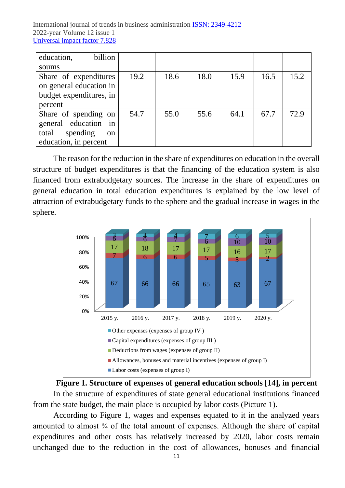| billion<br>education,   |      |      |      |      |      |      |
|-------------------------|------|------|------|------|------|------|
| soums                   |      |      |      |      |      |      |
| Share of expenditures   | 19.2 | 18.6 | 18.0 | 15.9 | 16.5 | 15.2 |
| on general education in |      |      |      |      |      |      |
| budget expenditures, in |      |      |      |      |      |      |
| percent                 |      |      |      |      |      |      |
| Share of spending on    | 54.7 | 55.0 | 55.6 | 64.1 | 67.7 | 72.9 |
| general education in    |      |      |      |      |      |      |
| spending<br>total<br>on |      |      |      |      |      |      |
| education, in percent   |      |      |      |      |      |      |

The reason for the reduction in the share of expenditures on education in the overall structure of budget expenditures is that the financing of the education system is also financed from extrabudgetary sources. The increase in the share of expenditures on general education in total education expenditures is explained by the low level of attraction of extrabudgetary funds to the sphere and the gradual increase in wages in the sphere.





According to Figure 1, wages and expenses equated to it in the analyzed years amounted to almost  $\frac{3}{4}$  of the total amount of expenses. Although the share of capital expenditures and other costs has relatively increased by 2020, labor costs remain unchanged due to the reduction in the cost of allowances, bonuses and financial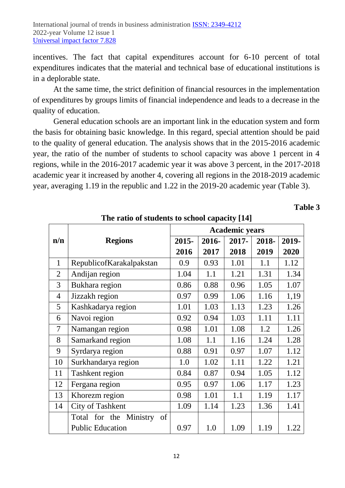incentives. The fact that capital expenditures account for 6-10 percent of total expenditures indicates that the material and technical base of educational institutions is in a deplorable state.

At the same time, the strict definition of financial resources in the implementation of expenditures by groups limits of financial independence and leads to a decrease in the quality of education.

General education schools are an important link in the education system and form the basis for obtaining basic knowledge. In this regard, special attention should be paid to the quality of general education. The analysis shows that in the 2015-2016 academic year, the ratio of the number of students to school capacity was above 1 percent in 4 regions, while in the 2016-2017 academic year it was above 3 percent, in the 2017-2018 academic year it increased by another 4, covering all regions in the 2018-2019 academic year, averaging 1.19 in the republic and 1.22 in the 2019-20 academic year (Table 3).

**Table 3**

|                |                                 | <b>Academic years</b> |       |       |       |       |  |
|----------------|---------------------------------|-----------------------|-------|-------|-------|-------|--|
| n/n            | <b>Regions</b>                  | 2015-                 | 2016- | 2017- | 2018- | 2019- |  |
|                |                                 | 2016                  | 2017  | 2018  | 2019  | 2020  |  |
| $\mathbf{1}$   | RepublicofKarakalpakstan        | 0.9                   | 0.93  | 1.01  | 1.1   | 1.12  |  |
| $\overline{2}$ | Andijan region                  | 1.04                  | 1.1   | 1.21  | 1.31  | 1.34  |  |
| 3              | Bukhara region                  | 0.86                  | 0.88  | 0.96  | 1.05  | 1.07  |  |
| $\overline{4}$ | Jizzakh region                  | 0.97                  | 0.99  | 1.06  | 1.16  | 1,19  |  |
| 5              | Kashkadarya region              | 1.01                  | 1.03  | 1.13  | 1.23  | 1.26  |  |
| 6              | Navoi region                    | 0.92                  | 0.94  | 1.03  | 1.11  | 1.11  |  |
| $\overline{7}$ | Namangan region                 | 0.98                  | 1.01  | 1.08  | 1.2   | 1.26  |  |
| 8              | Samarkand region                | 1.08                  | 1.1   | 1.16  | 1.24  | 1.28  |  |
| 9              | Syrdarya region                 | 0.88                  | 0.91  | 0.97  | 1.07  | 1.12  |  |
| 10             | Surkhandarya region             | 1.0                   | 1.02  | 1.11  | 1.22  | 1.21  |  |
| 11             | Tashkent region                 | 0.84                  | 0.87  | 0.94  | 1.05  | 1.12  |  |
| 12             | Fergana region                  | 0.95                  | 0.97  | 1.06  | 1.17  | 1.23  |  |
| 13             | Khorezm region                  | 0.98                  | 1.01  | 1.1   | 1.19  | 1.17  |  |
| 14             | City of Tashkent                | 1.09                  | 1.14  | 1.23  | 1.36  | 1.41  |  |
|                | Ministry<br>of<br>Total for the |                       |       |       |       |       |  |
|                | <b>Public Education</b>         | 0.97                  | 1.0   | 1.09  | 1.19  | 1.22  |  |

**The ratio of students to school capacity [14]**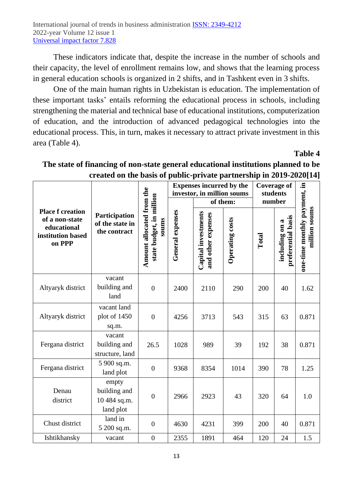These indicators indicate that, despite the increase in the number of schools and their capacity, the level of enrollment remains low, and shows that the learning process in general education schools is organized in 2 shifts, and in Tashkent even in 3 shifts.

One of the main human rights in Uzbekistan is education. The implementation of these important tasks' entails reforming the educational process in schools, including strengthening the material and technical base of educational institutions, computerization of education, and the introduction of advanced pedagogical technologies into the educational process. This, in turn, makes it necessary to attract private investment in this area (Table 4).

**Table 4**

|                                                              |                                                    |                                                                | <b>Expenses incurred by the</b><br>investor, in million soums<br>of them: |                                           |                 | <b>Coverage of</b><br>students<br>number |                                      |                                               |
|--------------------------------------------------------------|----------------------------------------------------|----------------------------------------------------------------|---------------------------------------------------------------------------|-------------------------------------------|-----------------|------------------------------------------|--------------------------------------|-----------------------------------------------|
| <b>Place f creation</b>                                      |                                                    |                                                                |                                                                           |                                           |                 |                                          |                                      |                                               |
| of a non-state<br>educational<br>institution based<br>on PPP | Participation<br>of the state in<br>the contract   | Amount allocated from the<br>state budget, in million<br>soums | General expenses                                                          | Capital investments<br>and other expenses | Operating costs | Total                                    | preferential basis<br>including on a | one-time monthly payment, in<br>million soums |
| Altyaryk district                                            | vacant<br>building and<br>land                     | $\overline{0}$                                                 | 2400                                                                      | 2110                                      | 290             | 200                                      | 40                                   | 1.62                                          |
| Altyaryk district                                            | vacant land<br>plot of 1450<br>sq.m.               | $\overline{0}$                                                 | 4256                                                                      | 3713                                      | 543             | 315                                      | 63                                   | 0.871                                         |
| Fergana district                                             | vacant<br>building and<br>structure, land          | 26.5                                                           | 1028                                                                      | 989                                       | 39              | 192                                      | 38                                   | 0.871                                         |
| Fergana district                                             | 5 900 sq.m.<br>land plot                           | $\overline{0}$                                                 | 9368                                                                      | 8354                                      | 1014            | 390                                      | 78                                   | 1.25                                          |
| Denau<br>district                                            | empty<br>building and<br>10 484 sq.m.<br>land plot | $\overline{0}$                                                 | 2966                                                                      | 2923                                      | 43              | 320                                      | 64                                   | 1.0                                           |
| Chust district                                               | land in<br>5 200 sq.m.                             | $\overline{0}$                                                 | 4630                                                                      | 4231                                      | 399             | 200                                      | 40                                   | 0.871                                         |
| Ishtikhansky                                                 | vacant                                             | $\overline{0}$                                                 | 2355                                                                      | 1891                                      | 464             | 120                                      | 24                                   | 1.5                                           |

# **The state of financing of non-state general educational institutions planned to be created on the basis of public-private partnership in 2019-2020[14]**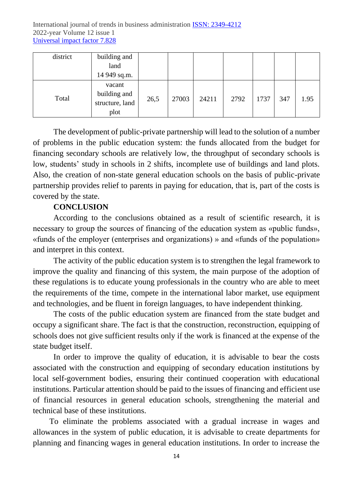| district | building and    |      |       |       |      |      |     |      |
|----------|-----------------|------|-------|-------|------|------|-----|------|
|          | land            |      |       |       |      |      |     |      |
|          | 14 949 sq.m.    |      |       |       |      |      |     |      |
|          | vacant          |      |       |       |      |      |     |      |
| Total    | building and    |      | 27003 | 24211 | 2792 | 1737 | 347 | 1.95 |
|          | structure, land | 26,5 |       |       |      |      |     |      |
|          | plot            |      |       |       |      |      |     |      |

The development of public-private partnership will lead to the solution of a number of problems in the public education system: the funds allocated from the budget for financing secondary schools are relatively low, the throughput of secondary schools is low, students' study in schools in 2 shifts, incomplete use of buildings and land plots. Also, the creation of non-state general education schools on the basis of public-private partnership provides relief to parents in paying for education, that is, part of the costs is covered by the state.

#### **CONCLUSION**

According to the conclusions obtained as a result of scientific research, it is necessary to group the sources of financing of the education system as «public funds», «funds of the employer (enterprises and organizations) » and «funds of the population» and interpret in this context.

The activity of the public education system is to strengthen the legal framework to improve the quality and financing of this system, the main purpose of the adoption of these regulations is to educate young professionals in the country who are able to meet the requirements of the time, compete in the international labor market, use equipment and technologies, and be fluent in foreign languages, to have independent thinking.

The costs of the public education system are financed from the state budget and occupy a significant share. The fact is that the construction, reconstruction, equipping of schools does not give sufficient results only if the work is financed at the expense of the state budget itself.

In order to improve the quality of education, it is advisable to bear the costs associated with the construction and equipping of secondary education institutions by local self-government bodies, ensuring their continued cooperation with educational institutions. Particular attention should be paid to the issues of financing and efficient use of financial resources in general education schools, strengthening the material and technical base of these institutions.

To eliminate the problems associated with a gradual increase in wages and allowances in the system of public education, it is advisable to create departments for planning and financing wages in general education institutions. In order to increase the